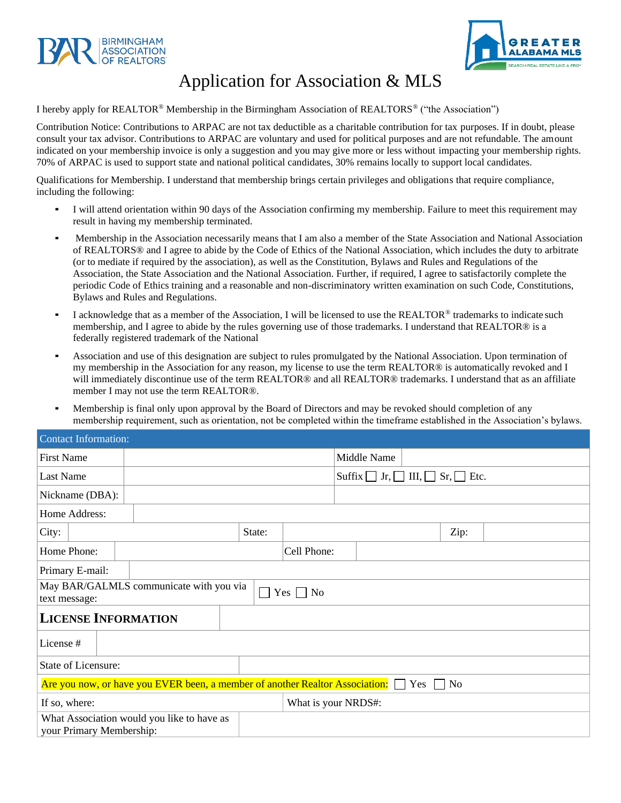



## Application for Association & MLS

I hereby apply for REALTOR® Membership in the Birmingham Association of REALTORS® ("the Association")

Contribution Notice: Contributions to ARPAC are not tax deductible as a charitable contribution for tax purposes. If in doubt, please consult your tax advisor. Contributions to ARPAC are voluntary and used for political purposes and are not refundable. The amount indicated on your membership invoice is only a suggestion and you may give more or less without impacting your membership rights. 70% of ARPAC is used to support state and national political candidates, 30% remains locally to support local candidates.

Qualifications for Membership. I understand that membership brings certain privileges and obligations that require compliance, including the following:

- I will attend orientation within 90 days of the Association confirming my membership. Failure to meet this requirement may result in having my membership terminated.
- Membership in the Association necessarily means that I am also a member of the State Association and National Association of REALTORS® and I agree to abide by the Code of Ethics of the National Association, which includes the duty to arbitrate (or to mediate if required by the association), as well as the Constitution, Bylaws and Rules and Regulations of the Association, the State Association and the National Association. Further, if required, I agree to satisfactorily complete the periodic Code of Ethics training and a reasonable and non-discriminatory written examination on such Code, Constitutions, Bylaws and Rules and Regulations.
- I acknowledge that as a member of the Association, I will be licensed to use the REALTOR<sup>®</sup> trademarks to indicate such membership, and I agree to abide by the rules governing use of those trademarks. I understand that REALTOR® is a federally registered trademark of the National
- Association and use of this designation are subject to rules promulgated by the National Association. Upon termination of my membership in the Association for any reason, my license to use the term REALTOR® is automatically revoked and I will immediately discontinue use of the term REALTOR® and all REALTOR® trademarks. I understand that as an affiliate member I may not use the term REALTOR®.
- Membership is final only upon approval by the Board of Directors and may be revoked should completion of any membership requirement, such as orientation, not be completed within the timeframe established in the Association's bylaws.

| <b>Contact Information:</b>                                                                          |  |        |                     |                                                                                       |      |  |
|------------------------------------------------------------------------------------------------------|--|--------|---------------------|---------------------------------------------------------------------------------------|------|--|
| <b>First Name</b>                                                                                    |  |        | Middle Name         |                                                                                       |      |  |
| <b>Last Name</b>                                                                                     |  |        |                     | $\text{Suffix} \quad \text{Jr}, \quad \text{III}, \quad \text{Sr}, \quad \text{Etc}.$ |      |  |
| Nickname (DBA):                                                                                      |  |        |                     |                                                                                       |      |  |
| Home Address:                                                                                        |  |        |                     |                                                                                       |      |  |
| City:                                                                                                |  | State: |                     |                                                                                       | Zip: |  |
| Home Phone:                                                                                          |  |        | Cell Phone:         |                                                                                       |      |  |
| Primary E-mail:                                                                                      |  |        |                     |                                                                                       |      |  |
| May BAR/GALMLS communicate with you via<br>$\Box$<br>$\Box$ No<br>Yes  <br>text message:             |  |        |                     |                                                                                       |      |  |
| <b>LICENSE INFORMATION</b>                                                                           |  |        |                     |                                                                                       |      |  |
| License #                                                                                            |  |        |                     |                                                                                       |      |  |
| <b>State of Licensure:</b>                                                                           |  |        |                     |                                                                                       |      |  |
| Are you now, or have you EVER been, a member of another Realtor Association: $\Box$<br>$Yes \Box No$ |  |        |                     |                                                                                       |      |  |
| If so, where:                                                                                        |  |        | What is your NRDS#: |                                                                                       |      |  |
| What Association would you like to have as<br>your Primary Membership:                               |  |        |                     |                                                                                       |      |  |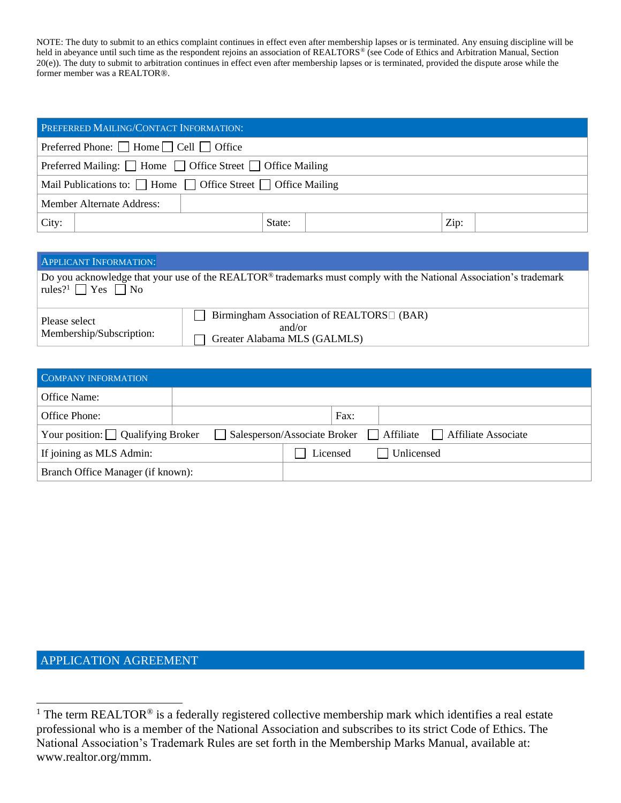NOTE: The duty to submit to an ethics complaint continues in effect even after membership lapses or is terminated. Any ensuing discipline will be held in abeyance until such time as the respondent rejoins an association of REALTORS® (see Code of Ethics and Arbitration Manual, Section 20(e)). The duty to submit to arbitration continues in effect even after membership lapses or is terminated, provided the dispute arose while the former member was a REALTOR®.

| <b>PREFERRED MAILING/CONTACT INFORMATION:</b>                                |        |      |  |  |
|------------------------------------------------------------------------------|--------|------|--|--|
| Preferred Phone: $\Box$ Home $\Box$ Cell $\Box$ Office                       |        |      |  |  |
| Preferred Mailing: $\Box$ Home $\Box$ Office Street $\Box$ Office Mailing    |        |      |  |  |
| Mail Publications to: $\Box$ Home $\Box$ Office Street $\Box$ Office Mailing |        |      |  |  |
| Member Alternate Address:                                                    |        |      |  |  |
| City:                                                                        | State: | Zip: |  |  |

| <b>APPLICANT INFORMATION:</b>                                                                                                                                             |                                                                                                   |  |  |
|---------------------------------------------------------------------------------------------------------------------------------------------------------------------------|---------------------------------------------------------------------------------------------------|--|--|
| Do you acknowledge that your use of the REALTOR <sup>®</sup> trademarks must comply with the National Association's trademark<br>rules? <sup>1</sup> $\Box$ Yes $\Box$ No |                                                                                                   |  |  |
| Please select<br>Membership/Subscription:                                                                                                                                 | Birmingham Association of REALTORS <sup>[1]</sup> (BAR)<br>and/or<br>Greater Alabama MLS (GALMLS) |  |  |

| COMPANY INFORMATION                     |                                                                  |  |  |  |  |
|-----------------------------------------|------------------------------------------------------------------|--|--|--|--|
| Office Name:                            |                                                                  |  |  |  |  |
| Office Phone:                           | Fax:                                                             |  |  |  |  |
| Your position: $\Box$ Qualifying Broker | □ Salesperson/Associate Broker □ Affiliate □ Affiliate Associate |  |  |  |  |
| If joining as MLS Admin:                | Licensed<br>$\Box$ Unlicensed                                    |  |  |  |  |
| Branch Office Manager (if known):       |                                                                  |  |  |  |  |

## APPLICATION AGREEMENT

<sup>&</sup>lt;sup>1</sup> The term REALTOR<sup>®</sup> is a federally registered collective membership mark which identifies a real estate professional who is a member of the National Association and subscribes to its strict Code of Ethics. The National Association's Trademark Rules are set forth in the Membership Marks Manual, available at: [www.realtor.org/mmm.](http://www.realtor.org/mmm)